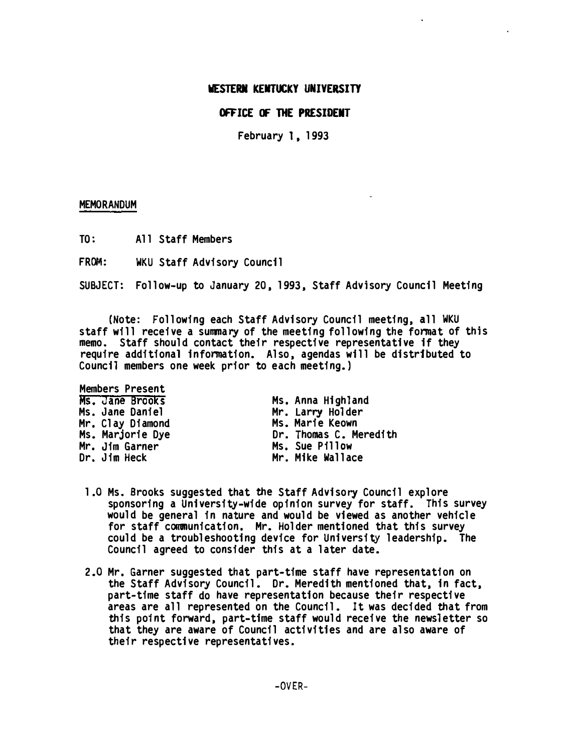## OFFICE OF THE PRESIDENT

February I, 1993

## MEMORANDUM

TO: A11 Staff Members

FRDM: WKU Staff Advisory Council

SUBJECT: Follow-up to January 20, 1993, Staff Advisory Council Meeting

(Note: Following each Staff Advisory Council meeting, all WKU staff will receive a summary of the meeting following the format of this memo. Staff should contact their respective representative if they require additional information. Also, agendas will be distributed to Council members one week prior to each meeting.)

| <b>Members Present</b> |                        |
|------------------------|------------------------|
| Ms. Jane Brooks        | Ms. Anna Highland      |
| Ms. Jane Daniel        | Mr. Larry Holder       |
| Mr. Clay Diamond       | Ms. Marie Keown        |
| Ms. Marjorie Dye       | Dr. Thomas C. Meredith |
| Mr. Jim Garner         | Ms. Sue Pillow         |
| Dr. Jim Heck           | Mr. Mike Wallace       |

- 1.0 Ms. Brooks suggested that the Staff Advisory Council explore sponsoring a University-wide opinion survey for staff. This survey would be general in nature and would be viewed as another vehicle for staff communication. Mr. Holder mentioned that this survey could be a troubleshooting device for University leadership. The Council agreed to consider this at a later date.
- 2.0 Mr. Garner suggested that part-time staff have representation on the Staff Advisory Council. Dr. Meredith mentioned that, in fact, part-time staff do have representation because their respective areas are all represented on the Council. It was decided that from this point forward, part-time staff would receive the newsletter so that they are aware of Council activities and are also aware of their respective representatives.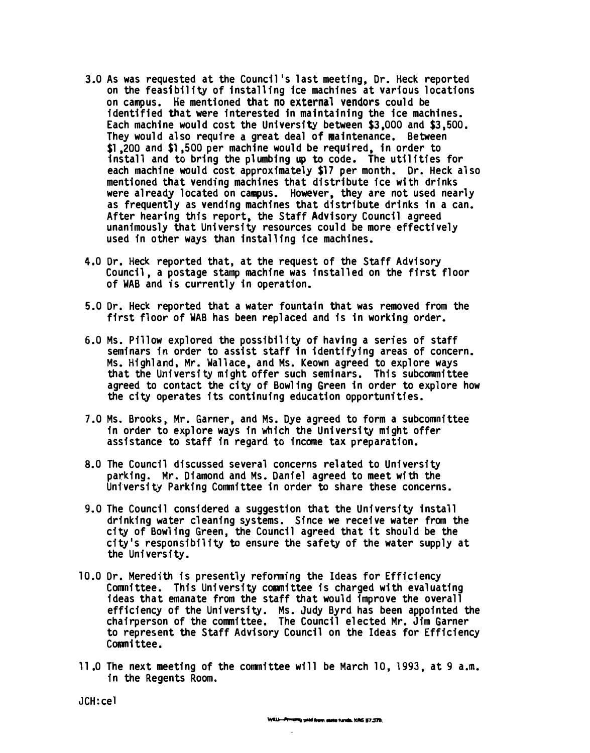- 3.0 As was requested at the Council's last meeting, Dr. Heck reported on the feasibility of installing ice machines at various locations on campus. He mentioned that no external vendors could be identified that were interested in maintaining the ice machines. Each machine would cost the University between \$3,000 and \$3,500. They would also require a great deal of maintenance. Between \$1,200 and \$1,500 per machine would be required, in order to install and to bring the plumbing up to code. The utilities for each machine would cost approximately \$17 per month. Dr. Heck also mentioned that vending machines that distribute ice with drinks were already located on campus. However, they are not used nearly as frequently as vending machines that distribute drinks in a can. After hearing this report, the Staff Advisory Council agreed unanimously that University resources could be more effectively used in other ways than installing ice machines.
- 4.0 Dr. Heck reported that, at the request of the Staff Advisory Council, a postage stamp machine was installed on the first floor of WAB and is currently in operation.
- 5.0 Dr. Heck reported that a water fountain that was removed from the first floor of WAB has been replaced and is in working order.
- 6.0 Ms. Pillow explored the possibility of having a series of staff seminars in order to assist staff in identifying areas of concern. Ms. Highland, Mr. Wallace, and Ms. Keown agreed to explore ways that the University might offer such seminars. This subcommittee agreed to contact the city of Bowling Green in order to explore how the city operates its continuing education opportunities.
- 7.0 Ms. Brooks, Mr. Garner, and Ms. Dye agreed to form a subcommittee in order to explore ways in which the University might offer assistance to staff in regard to income tax preparation.
- 8.0 The Council discussed several concerns related to University parking. Mr. Diamond and Ms. Daniel agreed to meet with the University Parking Committee in order to share these concerns.
- 9. 0 The Council considered a suggestion that the University install drinking water cleaning systems. Since we receive water from the city of Bowling Green, the Council agreed that it should be the city's responsibility to ensure the safety of the water supply at the University.
- 10.0 Dr. Meredith is presently reforming the Ideas for Efficiency Committee. This University committee is charged with evaluating ideas that emanate from the staff that would improve the overall efficiency of the University. Ms. Judy Byrd has been appointed the chairperson of the committee. The Council elected Mr. Jim Garner to represent the Staff Advisory Council on the Ideas for Efficiency Committee.
- 11.0 The next meeting of the committee will be March 10, 1993. at 9 a.m. in the Regents Room.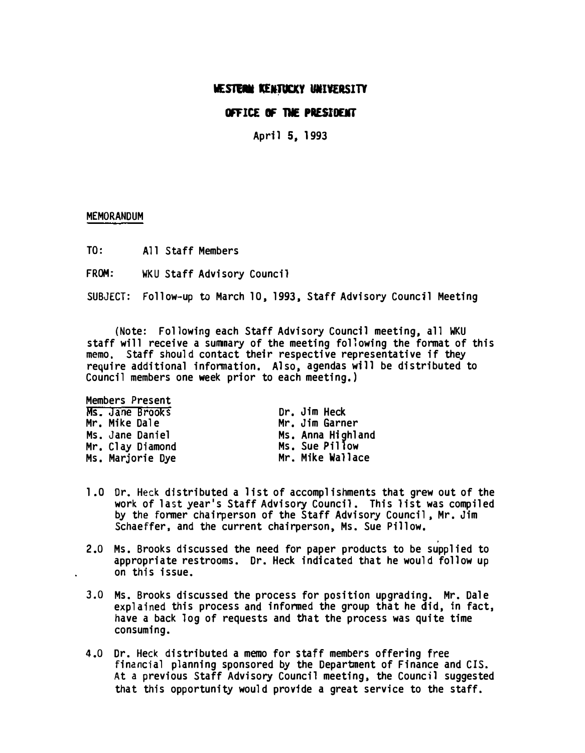## OFFICE OF THE PRESIDENT

April 5, 1993

### MEMORANDUM

TO: All Staff Members

FROM: WKU Staff Advisory Council

SUBJECT: Follow-up to March 10, 1993, Staff Advisory Council Meeting

(Note: Following each Staff Advisory Council meeting, all WKU staff will receive a summary of the meeting following the format of this memo, Staff should contact their respective representative if they require additional information. Also, agendas will be distributed to Council members one week prior to each meeting.)

Members Present Ms. Jane Brooks Mr. Mike Dale Ms. Jane Daniel Mr. Clay Diamond Ms. Marjorie Dye

Dr. Jim Heck Mr. Jim Garner Ms. Anna Highland Ms. Sue Pillow Mr. Mike Wallace

- 1.0 Dr. Heck distributed a list of accomplishments that grew out of the work of last year's Staff Advisory Council. This list was compiled by the former chairperson of the Staff Advisory Council, Mr. Jim Schaeffer. and the current chairperson, Ms. Sue Pillow.
- 2.0 Ms. Brooks discussed the need for paper products to be supplied to appropriate restrooms. Dr. Heck indicated that he would follow up on this issue.
- 3.0 Ms. Brooks discussed the process for position upgrading. Mr. Dale explained this process and informed the group that he did, in fact, have a back log of requests and that the process was quite time consuming.
- 4.0 Dr. Heck distributed a memo for staff members offering free financial planning sponsored by the Department of Finance and CIS. At a previous Staff Advisory Council meeting, the Council suggested that this opportunity would provide a great service to the staff.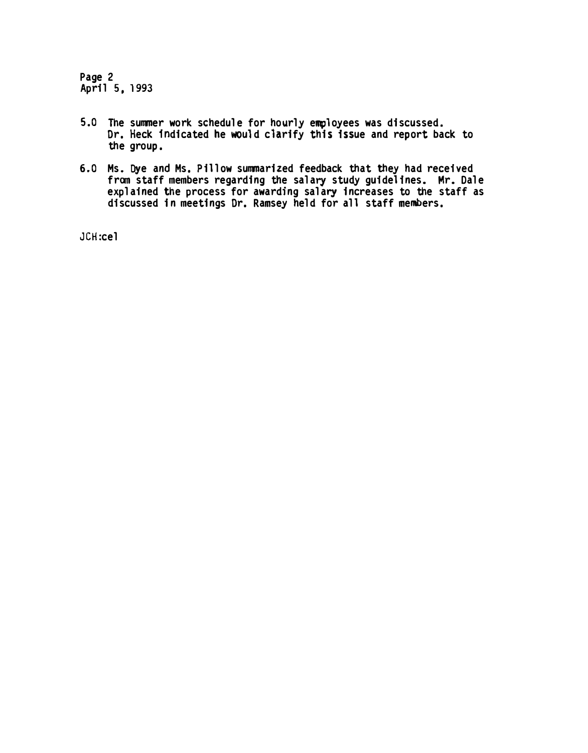Page 2 April 5, 1993

- 5.0 The summer work sChedule for hourly employees was discussed. Dr. Heck Indicated he would clarify this issue and report back to the group.
- 6.0 Ms. Dye and Ms. Pillow summarized feedback that they had received fram staff members regarding the salary study guidelines. Mr. Dale explained the process for awarding salary increases to the staff as discussed in meetings Dr. Ramsey held for all staff members.

JCH:cel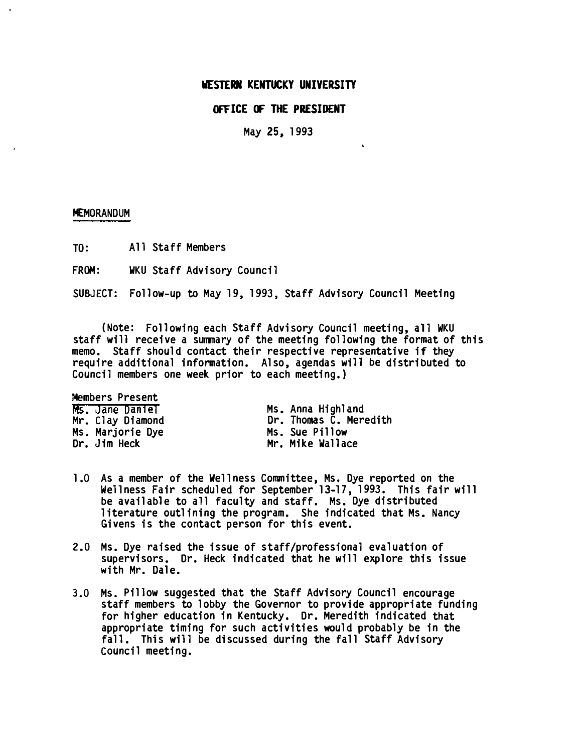## OFFICE OF THE PRESIDENT

May 25, 1993

#### MEMORANDUM

TO: All Staff Members

FROM: WKU Staff Advisory Council

SUBJECT: Follow-up to May 19, 1993, Staff Advisory Council Meeting

(Note: Following each Staff Advisory Council meeting, all WKU staff will receive a summary of the meeting following the format of this memo. Staff should contact their respective representative if they require additional information. Also, agendas will be distributed to Council members one week prior to each meeting.)

Members Present Ms. Jane Daniel Mr. Clay Diamond Ms. Marjorie Dye Dr. Jim Heck

Ms. Anna Highland Dr. Thomas C. Meredith Ms. Sue Pillow Mr. Mike Wallace

- 1.0 As a member of the We11ness Committee, Ms. Dye reported on the We11ness Fair scheduled for September 13-17, 1993. This fair will be available to all faculty and staff. Ms. Dye distributed literature outlining the program. She indicated that Ms. Nancy Givens is the contact person for this event.
- 2.0 Ms. Dye raised the issue of staff/professional evaluation of supervisors. Dr. Heck indicated that he will explore this issue with Mr. Dale.
- 3.0 Ms. Pillow suggested that the Staff Advisory Council encourage staff members to lobby the Governor to provide appropriate funding for higher education in Kentucky. Dr. Meredith indicated that appropriate timing for such activities would probably be in the fall. This will be discussed during the fall Staff Advisory council meeting.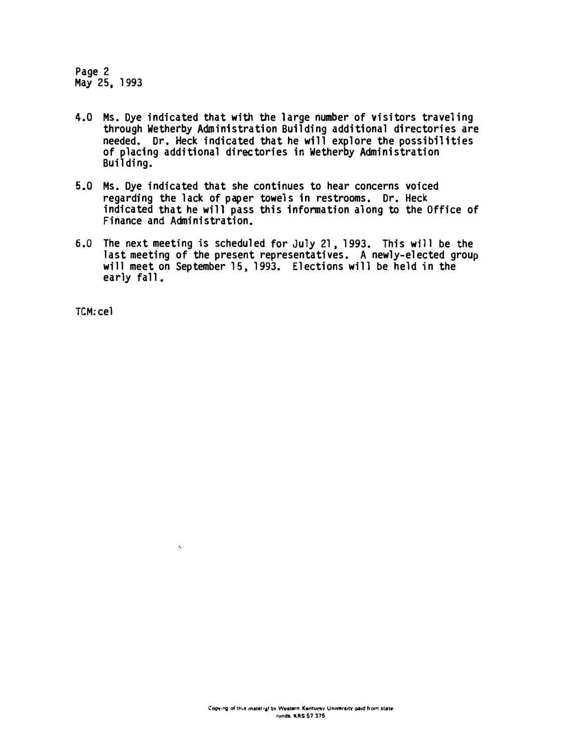Page 2 May 25, 1993

- 4.0 Ms. Dye indicated that with the large number of visitors traveling through Wetherby Administration Building additional directories are needed. Dr. Heck indicated that he will explore the possibilities of placing additional directories in Wetherby Administration Building.
- 5.0 Ms. Dye indicated that she continues to hear concerns voiced regarding the lack of paper towels in restrooms. Dr. Heck indicated that he will pass this information along to the Office of Finance and Administration.
- 6.0 The next meeting is scheduled for July 21, 1993. This will be the last meeting of the present representatives. A newly-elected group will meet on September 15, 1993. Elections will be held in the early fall.

TCM: cel

 $\ddot{\phantom{a}}$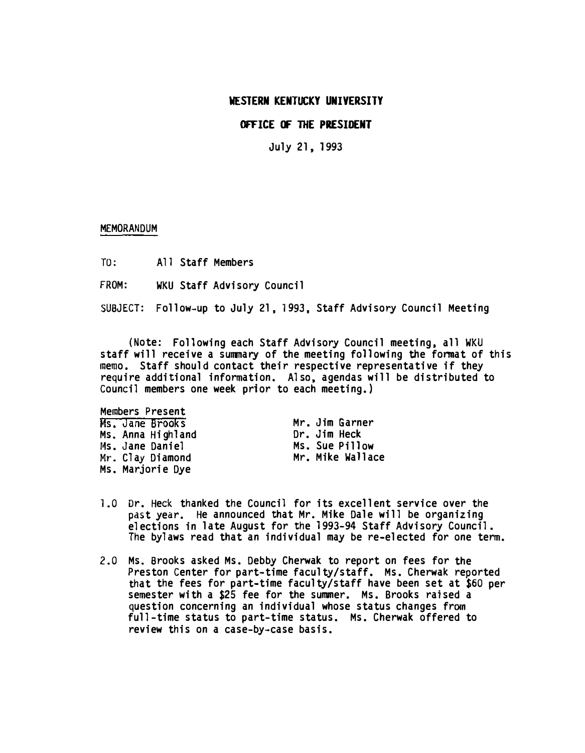# OFFICE OF THE PRESIDENT

July 21, 1993

### MEMORANDUM

TO: All Staff Members

FROM: WKU Staff Advisory Council

SUBJECT: Follow-up to July 21, 1993, Staff Advisory Council Meeting

(Note: Following each Staff Advisory Council meeting, all WKU staff will receive a summary of the meeting following the format of this memo. Staff should contact their respective representative if they require additional information. Also, agendas will be distributed to Council members one week prior to each meeting.)

Members Present Ms. Jane Brooks Ms. Anna Highland 14s. Jane Daniel Mr. Clay Diamond Ms. Marjorie Dye

Mr. Jim Garner Dr. Jim Heck Ms. Sue Pillow Mr. Mike Wallace

- 1.0 Dr. Heck thanked the Council for its excellent service over the past year. He announced that Mr. Mike Dale will be organizing elections in late August for the 1993-94 Staff Advisory Council. The bylaws read that an individual may be re-elected for one term.
- 2.0 Ms. Brooks asked Ms. Debby Cherwak to report on fees for the Preston Center for part-time faculty/staff. Ms. Cherwak reported that the fees for part-time faculty/staff have been set at \$60 per semester with a \$25 fee for the summer. Ms. Brooks raised a question concerning an individual whose status changes from full-time status to part-time status. Ms. Cherwak offered to review this on a case-by-case basis.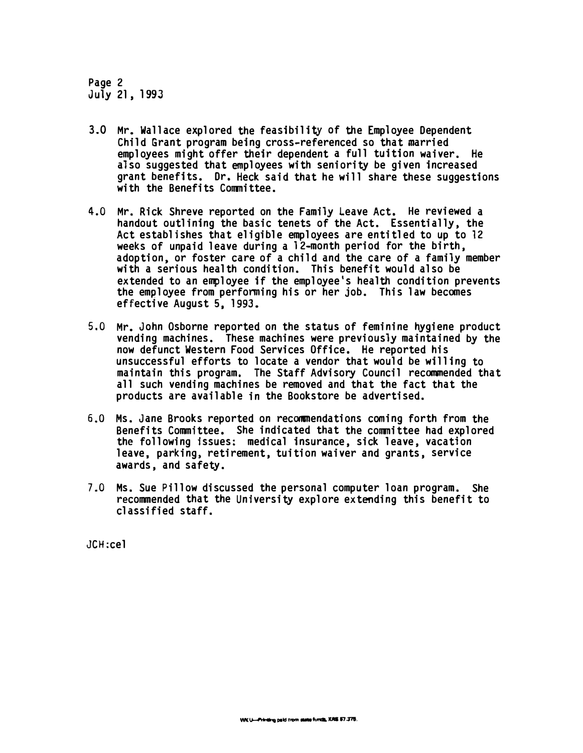Page 2 July 21, 1993

- 3.0 Mr. Wallace explored the feasibility of the Employee Dependent Child Grant program being cross-referenced so that married employees might offer their dependent a full tuition waiver. He also suggested that employees with seniority be given increased grant benefits. Dr. Heck said that he will share these suggestions with the Benefits Committee.
- 4.0 Mr. Rick Shreve reported on the Family Leave Act. He reviewed a handout outlining the basic tenets of the Act. Essentially, the Act establishes that eligible employees are entitled to up to 12 weeks of unpaid leave during a 12-month period for the birth. adoption, or foster care of a child and the care of a family member with a serious health condition. This benefit would also be extended to an employee if the employee's health condition prevents the employee from performing his or her job. This law becomes effective August 5, 1993.
- 5.0 Mr. John Osborne reported on the status of feminine hygiene product vending machines. These machines were previously maintained by the now defunct Western Food Services Office. He reported his unsuccessful efforts to locate a vendor that would be willing to maintain this program. The Staff Advisory Council recommended that all such vending machines be removed and that the fact that the products are available in the Bookstore be advertised.
- 6.0 Ms. Jane Brooks reported on recommendations coming forth from the Benefits Committee. She indicated that the committee had explored the following issues: medical insurance, sick leave, vacation leave, parking, retirement, tuition waiver and grants, service awards, and safety.
- 7.0 Ms. Sue Pillow discussed the personal computer loan program. She recommended that the University explore extending this benefit to classified staff.

JCH:cel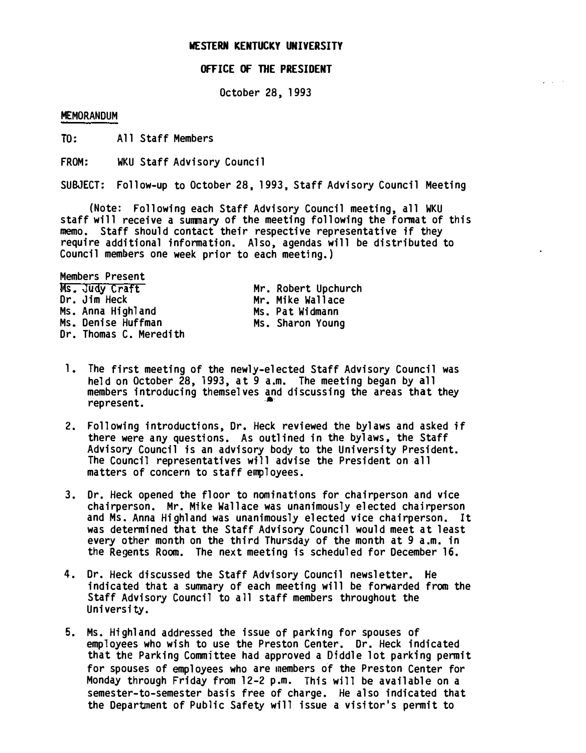#### OFFICE OF TIlE PRESIDENT

October 28, 1993

#### MEMORANDUM

TO: All Staff Members

FROM: WKU Staff Advisory Council

SUBJECT: Follow-up to October 28, 1993, Staff Advisory Council Meeting

(Note: Following each Staff Advisory Council meeting, all WKU staff will receive a summary of the meeting following the format of this memo. Staff should contact their respective representative if they require additional information. Also, agendas will be distributed to Council members one week prior to each meeting.)

Members Present Ms. Judy Craft Dr. Jim Heck Ms. Anna Highland Ms. Denise Huffman Dr. Thomas C. Meredith

Mr. Robert Upchurch Mr. Mike Wallace Ms. Pat Widmann Ms. Sharon Young

- 1. The first meeting of the newly-elected Staff Advisory Council was held on October 28, 1993, at 9 a.m. The meeting began by all members introducing themselves and discussing the areas that they represent.
- 2. Following introductions, Dr. Heck reviewed the bylaws and asked if there were any questions. As outlined in the bylaws. the Staff Advisory Council is an advisory body to the University President. The Council representatives will advise the President on all matters of concern to staff employees.
- 3. Dr. Heck opened the floor to nominations for chairperson and vice chairperson. Mr. Mike Wallace was unanimously elected chairperson and Ms. Anna Highland was unanimously elected vice chairperson. It was determined that the Staff Advisory Council would meet at least every other month on the third Thursday of the month at 9 a.m. in the Regents Room. The next meeting is scheduled for December 16.
- 4. Dr. Heck discussed the Staff Advisory Council newsletter. He indicated that a summary of each meeting will be forwarded from the Staff Advisory Council to all staff members throughout the University.
- 5. Ms. Highland addressed the issue of parking for spouses of employees who wish to use the Preston Center. Dr. Heck indicated that the Parking Committee had approved a Diddle lot parking permit for spouses of employees who are members of the Preston Center for Monday through Friday from 12-2 p.m. This will be available on a semester-to-semester basis free of charge. He also indicated that the Department of Public Safety will issue a visitor's permit to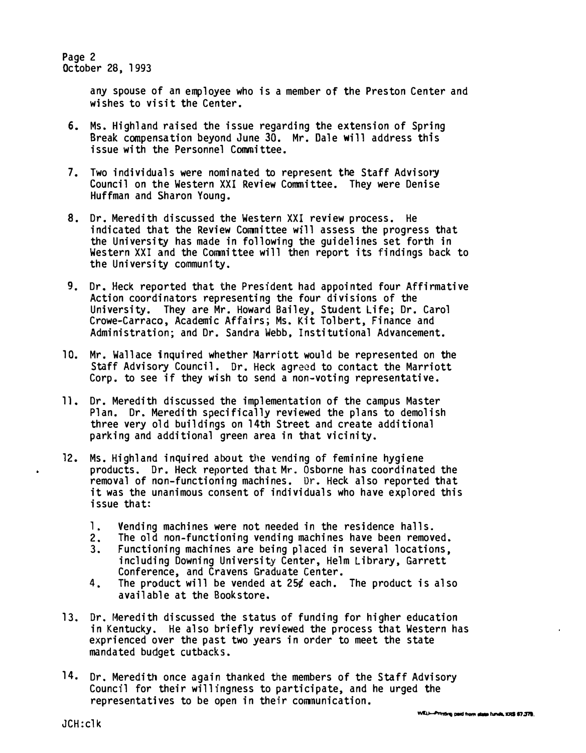Page 2 October 28, 1993

> any spouse of an employee who is a member of the Preston Center and wishes to visit the Center.

- 6. Ms. Highland raised the issue regarding the extension of Spring Break compensation beyond June 30. Mr. Dale will address this issue with the Personnel Committee.
- 7. Two individuals were nominated to represent the Staff Advisory Council on the Western XXI Review Committee. They were Denise Huffman and Sharon Young.
- 8. Dr. Meredith discussed the Western XXI review process. He indicated that the Review Committee will assess the progress that the University has made in following the guidelines set forth in Western XXI and the Committee will then report its findings back to the University community.
- 9. Dr. Heck reported that the President had appointed four Affirmative Action coordinators representing the four divisions of the University. They are Mr. Howard Bailey, Student Life; Dr. Carol Crowe-Carraco, Academic Affairs; Ms. Kit Tolbert, Finance and Administration; and Dr. Sandra Webb. Institutional Advancement.
- 10. Mr. Wallace inquired whether Marriott would be represented on the Staff Advisory Council. Dr. Heck agreed to contact the Marriott Corp. to see if they wish to send a non-voting representative.
- 11. Dr. Meredith discussed the implementation of the campus Master Plan. Dr. Meredith specifically reviewed the plans to demolish three very old buildings on 14th Street and create additional parking and additional green area in that vicinity.
- 12. Ms. Highland inquired about the vending of feminine hygiene products. Dr. Heck reported that Mr. Osborne has coordinated the removal of non-functioning machines. Dr. Heck also reported that it was the unanimous consent of individuals who have explored this issue that:
	- 1. Vending machines were not needed in the residence halls.
	- 2. The old non-functioning vending machines have been removed.
	- 3. Functioning machines are being placed in several locations, including Downing University Center, Helm Library, Garrett Conference, and Cravens Graduate Center.
	- 4. The product will be vended at 25¢ each. The product is also available at the Bookstore.
- 13. Dr. Meredith discussed the status of funding for higher education in Kentucky. He also briefly reviewed the process that Western has exprienced over the past two years in order to meet the state mandated budget cutbacks.
- 14. Dr. Meredith once again thanked the members of the Staff Advisory Council for their willingness to participate, and he urged the representatives to be open in their communication.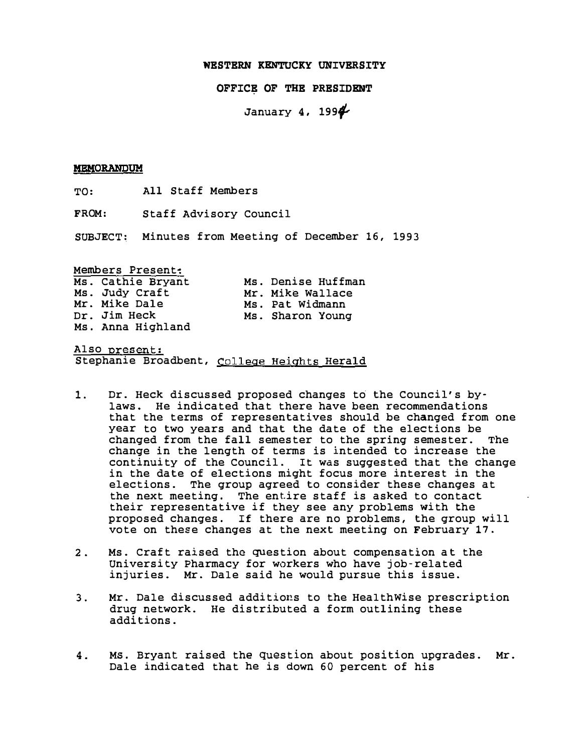OFFICE OF THE PRESIDENT

January 4. 199�

#### MEMORANDUM

TO: All Staff Members

FROM: Staff Advisory Council

SUBJECT: Minutes from Meeting of December 16, 1993

Members Present:

| Ms. Cathie Bryant | Ms. Denise Huffman |
|-------------------|--------------------|
| Ms. Judy Craft    | Mr. Mike Wallace   |
| Mr. Mike Dale     | Ms. Pat Widmann    |
| Dr. Jim Heck      | Ms. Sharon Young   |
| Ms. Anna Highland |                    |

Also present: Stephanie Broadbent, College Heights Herald

- 1. Dr. Heck discussed proposed changes to' the Council's bylaws. He indicated that there have been recommendations that the terms of representatives should be changed from one year to two years and that the date of the elections be changed from the fall semester to the spring semester. The change in the length of terms is intended to increase the continuity of the Council. It was suggested that the change in the date of elections might focus more interest in the elections. The group agreed to consider these changes at the next meeting. The entire staff is asked to contact their representative if they see any problems with the proposed changes. If there are no problems, the group will vote on these changes at the next meeting on February 17.
- 2. Ms. Craft raised the question about compensation at the University Pharmacy for workers who have job-related injuries. Mr. Dale said he would pursue this issue.
- 3. Mr. Dale discussed additions to the HealthWise prescription drug network. He distributed a form outlining these additions.
- 4. Ms. Bryant raised the question about position upgrades. Mr. Dale indicated that he is down 60 percent of his